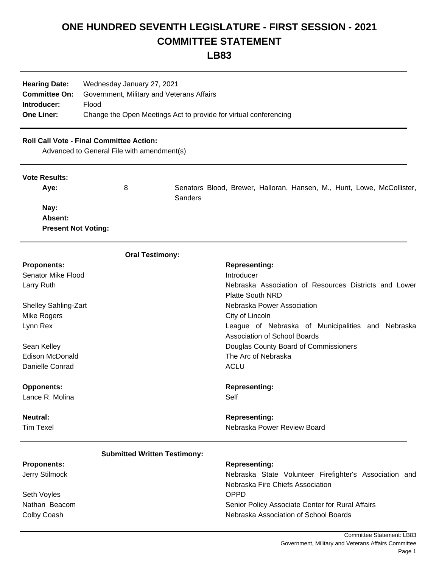## **ONE HUNDRED SEVENTH LEGISLATURE - FIRST SESSION - 2021 COMMITTEE STATEMENT**

**LB83**

| <b>Hearing Date:</b> | Wednesday January 27, 2021                                       |  |  |  |  |
|----------------------|------------------------------------------------------------------|--|--|--|--|
| <b>Committee On:</b> | Government, Military and Veterans Affairs                        |  |  |  |  |
| Introducer:          | Flood                                                            |  |  |  |  |
| <b>One Liner:</b>    | Change the Open Meetings Act to provide for virtual conferencing |  |  |  |  |

## **Roll Call Vote - Final Committee Action:**

Advanced to General File with amendment(s)

| <b>Vote Results:</b>       |   |                |  |  |  |                                                                        |
|----------------------------|---|----------------|--|--|--|------------------------------------------------------------------------|
| Ave:                       | 8 | <b>Sanders</b> |  |  |  | Senators Blood, Brewer, Halloran, Hansen, M., Hunt, Lowe, McCollister, |
| Nay:                       |   |                |  |  |  |                                                                        |
| Absent:                    |   |                |  |  |  |                                                                        |
| <b>Present Not Voting:</b> |   |                |  |  |  |                                                                        |

|                             | <b>Oral Testimony:</b>              |                                                        |  |  |  |  |  |  |  |  |
|-----------------------------|-------------------------------------|--------------------------------------------------------|--|--|--|--|--|--|--|--|
| <b>Proponents:</b>          |                                     | <b>Representing:</b>                                   |  |  |  |  |  |  |  |  |
| Senator Mike Flood          |                                     | Introducer                                             |  |  |  |  |  |  |  |  |
| Larry Ruth                  |                                     | Nebraska Association of Resources Districts and Lower  |  |  |  |  |  |  |  |  |
|                             |                                     | <b>Platte South NRD</b>                                |  |  |  |  |  |  |  |  |
| <b>Shelley Sahling-Zart</b> |                                     | Nebraska Power Association                             |  |  |  |  |  |  |  |  |
| Mike Rogers                 |                                     | City of Lincoln                                        |  |  |  |  |  |  |  |  |
| Lynn Rex                    |                                     | League of Nebraska of Municipalities and Nebraska      |  |  |  |  |  |  |  |  |
|                             |                                     | <b>Association of School Boards</b>                    |  |  |  |  |  |  |  |  |
| Sean Kelley                 |                                     | Douglas County Board of Commissioners                  |  |  |  |  |  |  |  |  |
| Edison McDonald             |                                     | The Arc of Nebraska                                    |  |  |  |  |  |  |  |  |
| Danielle Conrad             |                                     | <b>ACLU</b>                                            |  |  |  |  |  |  |  |  |
| <b>Opponents:</b>           |                                     | <b>Representing:</b>                                   |  |  |  |  |  |  |  |  |
| Lance R. Molina             |                                     | Self                                                   |  |  |  |  |  |  |  |  |
| <b>Neutral:</b>             |                                     | <b>Representing:</b>                                   |  |  |  |  |  |  |  |  |
| <b>Tim Texel</b>            |                                     | Nebraska Power Review Board                            |  |  |  |  |  |  |  |  |
|                             | <b>Submitted Written Testimony:</b> |                                                        |  |  |  |  |  |  |  |  |
| <b>Proponents:</b>          |                                     | <b>Representing:</b>                                   |  |  |  |  |  |  |  |  |
| Jerry Stilmock              |                                     | Nebraska State Volunteer Firefighter's Association and |  |  |  |  |  |  |  |  |
|                             |                                     | Nebraska Fire Chiefs Association                       |  |  |  |  |  |  |  |  |
| Seth Voyles                 |                                     | <b>OPPD</b>                                            |  |  |  |  |  |  |  |  |
| Nathan Beacom               |                                     | Senior Policy Associate Center for Rural Affairs       |  |  |  |  |  |  |  |  |
| Colby Coash                 |                                     | Nebraska Association of School Boards                  |  |  |  |  |  |  |  |  |
|                             |                                     |                                                        |  |  |  |  |  |  |  |  |